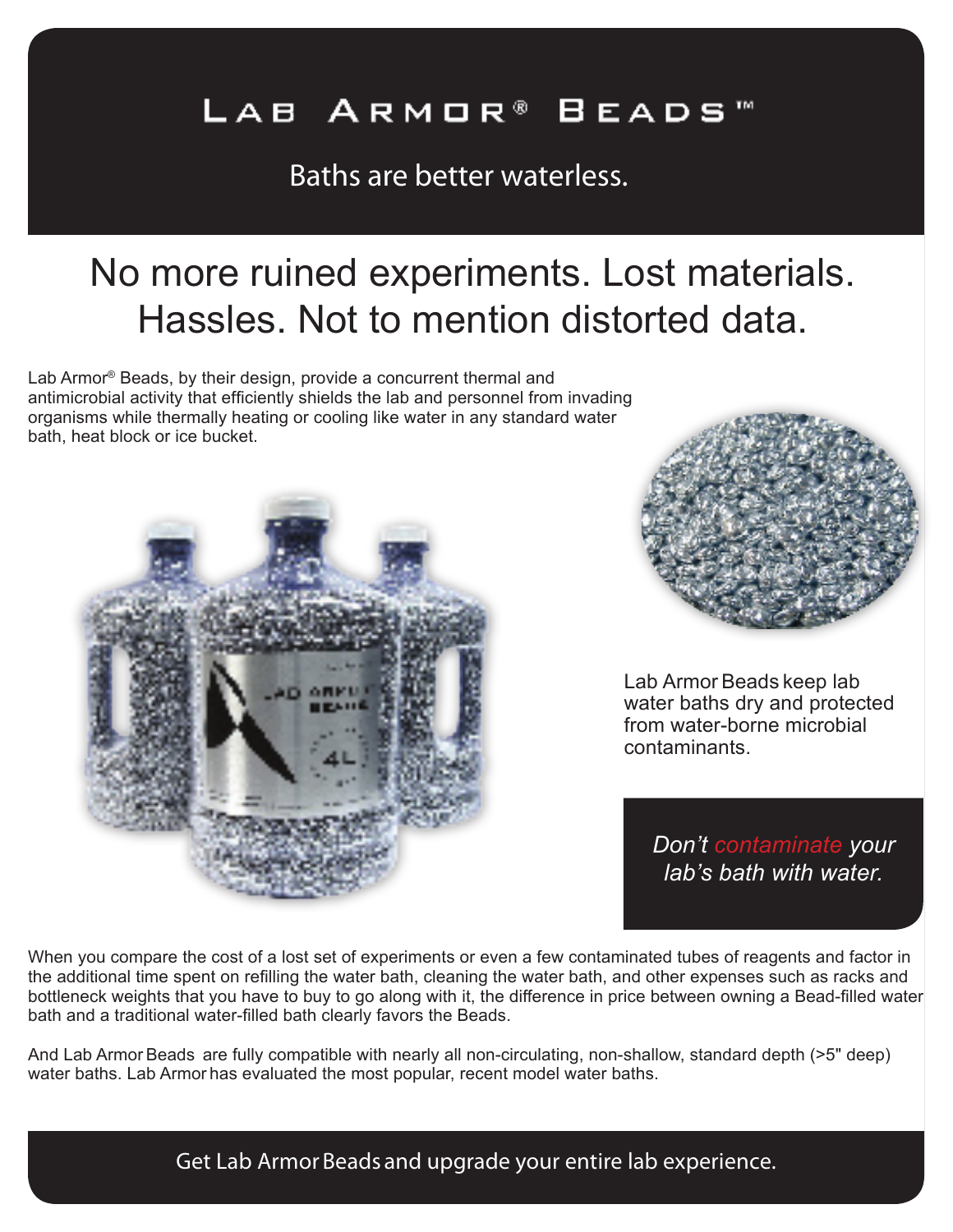## LAB ARMOR® BEADS

Baths are better waterless.

# No more ruined experiments. Lost materials. Hassles. Not to mention distorted data.

Lab Armor® Beads, by their design, provide a concurrent thermal and antimicrobial activity that efficiently shields the lab and personnel from invading organisms while thermally heating or cooling like water in any standard water bath, heat block or ice bucket.





Lab Armor Beads keep lab water baths dry and protected from water-borne microbial contaminants.

*Don't contaminate your lab's bath with water.*

When you compare the cost of a lost set of experiments or even a few contaminated tubes of reagents and factor in the additional time spent on refilling the water bath, cleaning the water bath, and other expenses such as racks and bottleneck weights that you have to buy to go along with it, the difference in price between owning a Bead-filled water bath and a traditional water-filled bath clearly favors the Beads.

And Lab Armor Beads are fully compatible with nearly all non-circulating, non-shallow, standard depth (>5" deep) water baths. Lab Armor has evaluated the most popular, recent model water baths.

Get Lab Armor Beads and upgrade your entire lab experience.